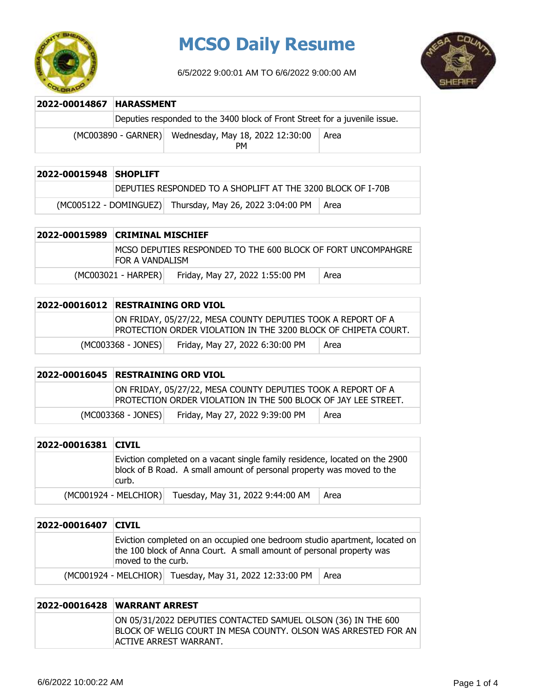

# **MCSO Daily Resume**

6/5/2022 9:00:01 AM TO 6/6/2022 9:00:00 AM



| 2022-00014867 HARASSMENT |                       |                                                                            |      |
|--------------------------|-----------------------|----------------------------------------------------------------------------|------|
|                          |                       | Deputies responded to the 3400 block of Front Street for a juvenile issue. |      |
|                          | $(MCOO3890 - GARNER)$ | Wednesday, May 18, 2022 12:30:00<br>PМ                                     | Area |

| 2022-00015948 SHOPLIFT |                                                              |      |
|------------------------|--------------------------------------------------------------|------|
|                        | IDEPUTIES RESPONDED TO A SHOPLIFT AT THE 3200 BLOCK OF I-70B |      |
|                        | (MC005122 - DOMINGUEZ) Thursday, May 26, 2022 3:04:00 PM     | Area |

| 2022-00015989 CRIMINAL MISCHIEF |                       |                                                               |      |
|---------------------------------|-----------------------|---------------------------------------------------------------|------|
|                                 | FOR A VANDALISM       | IMCSO DEPUTIES RESPONDED TO THE 600 BLOCK OF FORT UNCOMPAHGRE |      |
|                                 | $(MCOO3021 - HARPER)$ | Friday, May 27, 2022 1:55:00 PM                               | Area |

| 2022-00016012 RESTRAINING ORD VIOL |                      |                                                                                                                                |
|------------------------------------|----------------------|--------------------------------------------------------------------------------------------------------------------------------|
|                                    |                      | ON FRIDAY, 05/27/22, MESA COUNTY DEPUTIES TOOK A REPORT OF A<br>PROTECTION ORDER VIOLATION IN THE 3200 BLOCK OF CHIPETA COURT. |
|                                    | $(MCO03368 - JONES)$ | Friday, May 27, 2022 6:30:00 PM<br>Area                                                                                        |

| 2022-00016045 RESTRAINING ORD VIOL |                    |                                                                                                                                |      |
|------------------------------------|--------------------|--------------------------------------------------------------------------------------------------------------------------------|------|
|                                    |                    | ON FRIDAY, 05/27/22, MESA COUNTY DEPUTIES TOOK A REPORT OF A<br>PROTECTION ORDER VIOLATION IN THE 500 BLOCK OF JAY LEE STREET. |      |
|                                    | (MC003368 - JONES) | Friday, May 27, 2022 9:39:00 PM                                                                                                | Area |

| 2022-00016381 CIVIL |                         |                                                                                                                                                      |      |
|---------------------|-------------------------|------------------------------------------------------------------------------------------------------------------------------------------------------|------|
|                     | curb.                   | Eviction completed on a vacant single family residence, located on the 2900<br>block of B Road. A small amount of personal property was moved to the |      |
|                     | $(MCO01924 - MELCHIOR)$ | Tuesday, May 31, 2022 9:44:00 AM                                                                                                                     | Area |

| 2022-00016407 | <b>CIVIL</b>                                                                                                                                                             |
|---------------|--------------------------------------------------------------------------------------------------------------------------------------------------------------------------|
|               | Eviction completed on an occupied one bedroom studio apartment, located on<br>the 100 block of Anna Court. A small amount of personal property was<br>moved to the curb. |
|               | (MC001924 - MELCHIOR) Tuesday, May 31, 2022 12:33:00 PM<br>⊢Area                                                                                                         |

| 2022-00016428 WARRANT ARREST                                                                                                                               |
|------------------------------------------------------------------------------------------------------------------------------------------------------------|
| ON 05/31/2022 DEPUTIES CONTACTED SAMUEL OLSON (36) IN THE 600<br>IBLOCK OF WELIG COURT IN MESA COUNTY. OLSON WAS ARRESTED FOR AN<br>ACTIVE ARREST WARRANT. |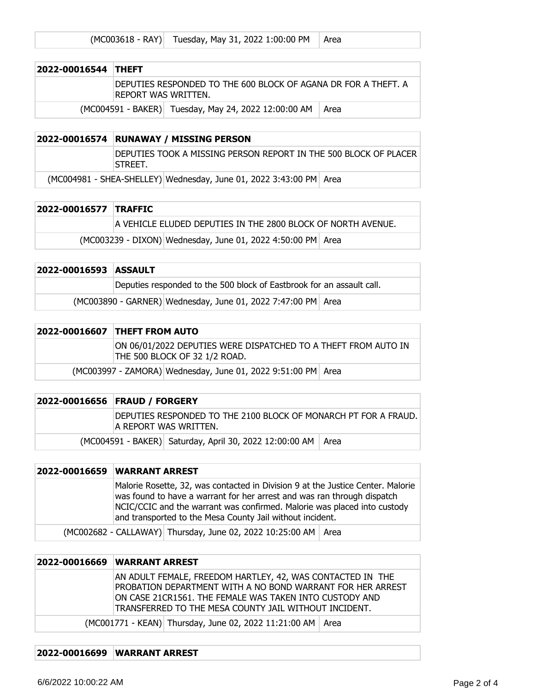|  | (MC003618 - RAY) Tuesday, May 31, 2022 1:00:00 PM   Area |  |
|--|----------------------------------------------------------|--|
|--|----------------------------------------------------------|--|

| 2022-00016544 THEFT |                     |                                                                 |  |
|---------------------|---------------------|-----------------------------------------------------------------|--|
|                     | REPORT WAS WRITTEN. | IDEPUTIES RESPONDED TO THE 600 BLOCK OF AGANA DR FOR A THEFT. A |  |
|                     |                     | (MC004591 - BAKER) Tuesday, May 24, 2022 12:00:00 AM   Area     |  |

### **2022-00016574 RUNAWAY / MISSING PERSON**

DEPUTIES TOOK A MISSING PERSON REPORT IN THE 500 BLOCK OF PLACER STREET.

(MC004981 - SHEA-SHELLEY) Wednesday, June 01, 2022 3:43:00 PM Area

#### **2022-00016577 TRAFFIC**

A VEHICLE ELUDED DEPUTIES IN THE 2800 BLOCK OF NORTH AVENUE.

 $(MCO03239 - DIXON)$  Wednesday, June 01, 2022 4:50:00 PM Area

| 2022-00016593 ASSAULT |                                                                       |
|-----------------------|-----------------------------------------------------------------------|
|                       | Deputies responded to the 500 block of Eastbrook for an assault call. |
|                       | (MC003890 - GARNER) Wednesday, June 01, 2022 7:47:00 PM Area          |

## **2022-00016607 THEFT FROM AUTO** ON 06/01/2022 DEPUTIES WERE DISPATCHED TO A THEFT FROM AUTO IN THE 500 BLOCK OF 32 1/2 ROAD.  $(MCO03997 - ZAMORA)$  Wednesday, June 01, 2022 9:51:00 PM Area

| 2022-00016656 FRAUD / FORGERY                                                             |
|-------------------------------------------------------------------------------------------|
| DEPUTIES RESPONDED TO THE 2100 BLOCK OF MONARCH PT FOR A FRAUD.<br>IA REPORT WAS WRITTEN. |
| (MC004591 - BAKER) Saturday, April 30, 2022 12:00:00 AM   Area                            |

## **2022-00016659 WARRANT ARREST** Malorie Rosette, 32, was contacted in Division 9 at the Justice Center. Malorie was found to have a warrant for her arrest and was ran through dispatch NCIC/CCIC and the warrant was confirmed. Malorie was placed into custody and transported to the Mesa County Jail without incident. (MC002682 - CALLAWAY) Thursday, June 02, 2022 10:25:00 AM | Area

## **2022-00016669 WARRANT ARREST**

| AN ADULT FEMALE, FREEDOM HARTLEY, 42, WAS CONTACTED IN THE<br>PROBATION DEPARTMENT WITH A NO BOND WARRANT FOR HER ARREST<br>ON CASE 21CR1561. THE FEMALE WAS TAKEN INTO CUSTODY AND<br>$\mid$ TRANSFERRED TO THE MESA COUNTY JAIL WITHOUT INCIDENT. |
|-----------------------------------------------------------------------------------------------------------------------------------------------------------------------------------------------------------------------------------------------------|
| (MC001771 - KEAN) Thursday, June 02, 2022 11:21:00 AM   Area                                                                                                                                                                                        |

## **2022-00016699 WARRANT ARREST**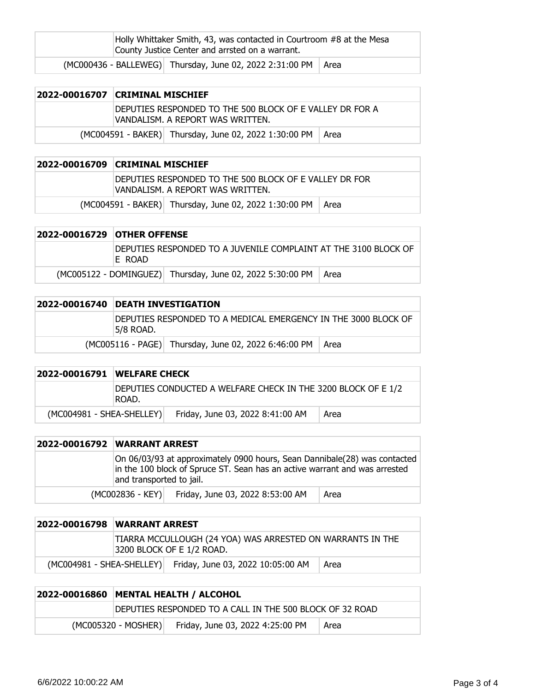| Holly Whittaker Smith, 43, was contacted in Courtroom #8 at the Mesa<br>County Justice Center and arrsted on a warrant. |                                                                 |  |
|-------------------------------------------------------------------------------------------------------------------------|-----------------------------------------------------------------|--|
|                                                                                                                         | (MC000436 - BALLEWEG) Thursday, June 02, 2022 2:31:00 PM   Area |  |

| 2022-00016707 CRIMINAL MISCHIEF                                                               |  |  |
|-----------------------------------------------------------------------------------------------|--|--|
| DEPUTIES RESPONDED TO THE 500 BLOCK OF E VALLEY DR FOR A<br>IVANDALISM. A REPORT WAS WRITTEN. |  |  |
| (MC004591 - BAKER) Thursday, June 02, 2022 1:30:00 PM   Area                                  |  |  |

| 2022-00016709 CRIMINAL MISCHIEF |                                                                                            |  |
|---------------------------------|--------------------------------------------------------------------------------------------|--|
|                                 | DEPUTIES RESPONDED TO THE 500 BLOCK OF E VALLEY DR FOR<br>VANDALISM. A REPORT WAS WRITTEN. |  |
|                                 | (MC004591 - BAKER) Thursday, June 02, 2022 1:30:00 PM   Area                               |  |

| 2022-00016729 OTHER OFFENSE                                                |                                                                  |  |
|----------------------------------------------------------------------------|------------------------------------------------------------------|--|
| DEPUTIES RESPONDED TO A JUVENILE COMPLAINT AT THE 3100 BLOCK OF<br>IE ROAD |                                                                  |  |
|                                                                            | (MC005122 - DOMINGUEZ) Thursday, June 02, 2022 5:30:00 PM   Area |  |

| 2022-00016740 | <b>DEATH INVESTIGATION</b>                                                  |                                                                |  |
|---------------|-----------------------------------------------------------------------------|----------------------------------------------------------------|--|
|               | DEPUTIES RESPONDED TO A MEDICAL EMERGENCY IN THE 3000 BLOCK OF<br>5/8 ROAD. |                                                                |  |
|               |                                                                             | (MC005116 - PAGE) Thursday, June 02, 2022 6:46:00 PM<br>∣ Area |  |

|                             | 2022-00016791 WELFARE CHECK                                            |                                  |      |
|-----------------------------|------------------------------------------------------------------------|----------------------------------|------|
|                             | DEPUTIES CONDUCTED A WELFARE CHECK IN THE 3200 BLOCK OF E 1/2<br>ROAD. |                                  |      |
| $(MCOO4981 - SHEA-SHELLEY)$ |                                                                        | Friday, June 03, 2022 8:41:00 AM | Area |

| <b>2022-00016792 WARRANT ARREST</b> |                          |                                                                                                                                                         |      |
|-------------------------------------|--------------------------|---------------------------------------------------------------------------------------------------------------------------------------------------------|------|
|                                     | and transported to jail. | On 06/03/93 at approximately 0900 hours, Sean Dannibale(28) was contacted<br>in the 100 block of Spruce ST. Sean has an active warrant and was arrested |      |
|                                     | $(MCOO2836 - KEY)$       | Friday, June 03, 2022 8:53:00 AM                                                                                                                        | Area |

|                             | 2022-00016798 WARRANT ARREST |                                                                                         |      |
|-----------------------------|------------------------------|-----------------------------------------------------------------------------------------|------|
|                             |                              | TIARRA MCCULLOUGH (24 YOA) WAS ARRESTED ON WARRANTS IN THE<br>3200 BLOCK OF E 1/2 ROAD. |      |
| $(MCOO4981 - SHEA-SHELLEY)$ |                              | Friday, June 03, 2022 10:05:00 AM                                                       | Area |

| 2022-00016860 MENTAL HEALTH / ALCOHOL                    |                                  |      |
|----------------------------------------------------------|----------------------------------|------|
| DEPUTIES RESPONDED TO A CALL IN THE 500 BLOCK OF 32 ROAD |                                  |      |
| (MC005320 - MOSHER)                                      | Friday, June 03, 2022 4:25:00 PM | Area |